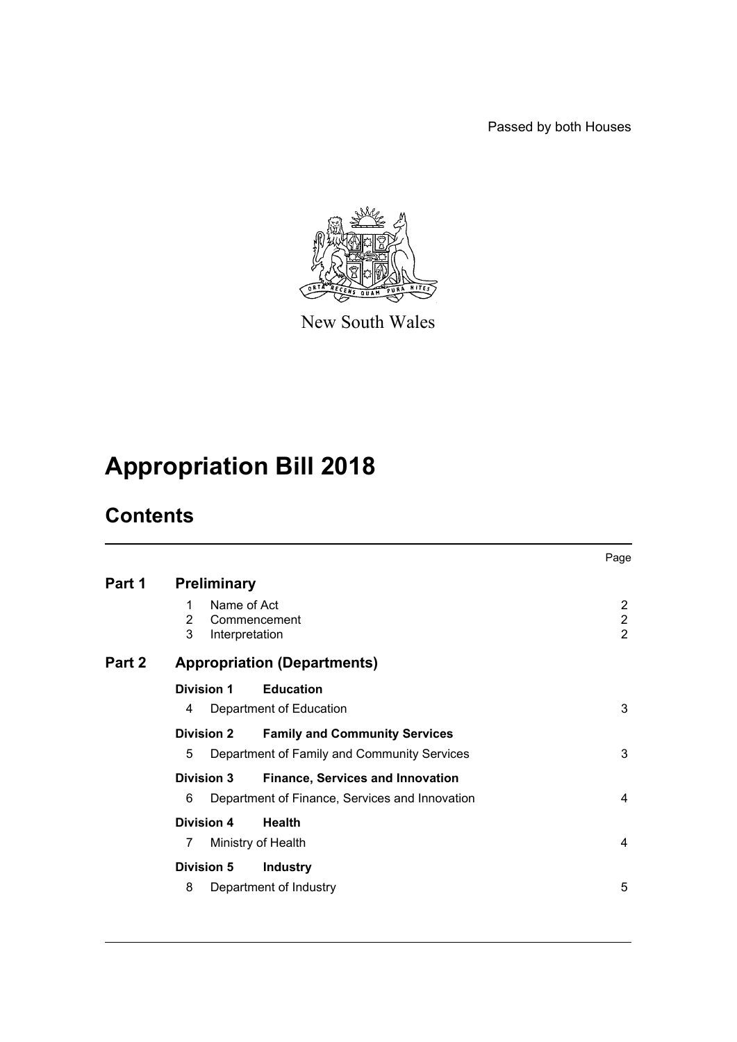Passed by both Houses



New South Wales

# **Appropriation Bill 2018**

# **Contents**

|        |                                              |                                                | Page                                  |
|--------|----------------------------------------------|------------------------------------------------|---------------------------------------|
| Part 1 | <b>Preliminary</b>                           |                                                |                                       |
|        | Name of Act<br>1<br>2<br>3<br>Interpretation | Commencement                                   | 2<br>$\overline{2}$<br>$\overline{2}$ |
| Part 2 |                                              | <b>Appropriation (Departments)</b>             |                                       |
|        | Division 1                                   | <b>Education</b>                               |                                       |
|        | 4                                            | Department of Education                        | 3                                     |
|        | <b>Division 2</b>                            | <b>Family and Community Services</b>           |                                       |
|        | 5                                            | Department of Family and Community Services    | 3                                     |
|        | <b>Division 3</b>                            | <b>Finance, Services and Innovation</b>        |                                       |
|        | 6                                            | Department of Finance, Services and Innovation | 4                                     |
|        | <b>Division 4</b>                            | <b>Health</b>                                  |                                       |
|        | 7                                            | Ministry of Health                             | 4                                     |
|        | <b>Division 5</b>                            | <b>Industry</b>                                |                                       |
|        | 8                                            | Department of Industry                         | 5                                     |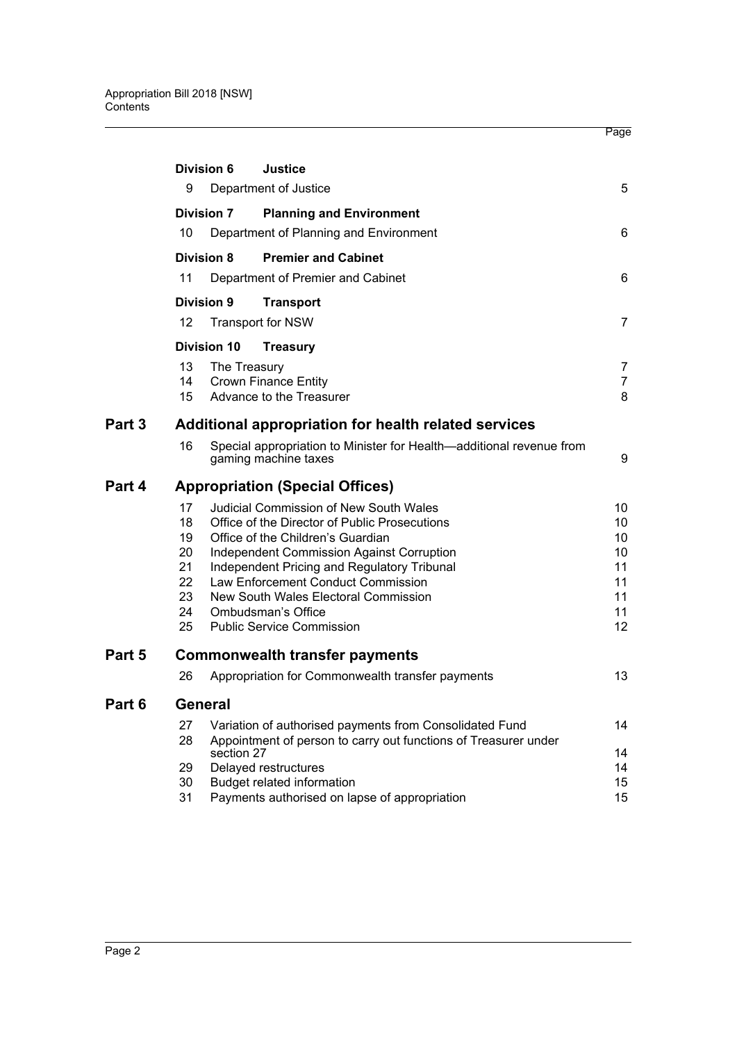|        |                   | Division 6         | <b>Justice</b>                                                                               |                |
|--------|-------------------|--------------------|----------------------------------------------------------------------------------------------|----------------|
|        | 9                 |                    | Department of Justice                                                                        | 5              |
|        |                   | <b>Division 7</b>  | <b>Planning and Environment</b>                                                              |                |
|        | 10                |                    | Department of Planning and Environment                                                       | 6              |
|        |                   | Division 8         | <b>Premier and Cabinet</b>                                                                   |                |
|        | 11                |                    | Department of Premier and Cabinet                                                            | 6              |
|        |                   | <b>Division 9</b>  | <b>Transport</b>                                                                             |                |
|        | $12 \overline{ }$ |                    | <b>Transport for NSW</b>                                                                     | 7              |
|        |                   | <b>Division 10</b> | <b>Treasury</b>                                                                              |                |
|        | 13                | The Treasury       |                                                                                              | 7              |
|        | 14                |                    | <b>Crown Finance Entity</b>                                                                  | $\overline{7}$ |
|        | 15                |                    | Advance to the Treasurer                                                                     | 8              |
| Part 3 |                   |                    | Additional appropriation for health related services                                         |                |
|        | 16                |                    | Special appropriation to Minister for Health-additional revenue from<br>gaming machine taxes | 9              |
| Part 4 |                   |                    | <b>Appropriation (Special Offices)</b>                                                       |                |
|        | 17                |                    | <b>Judicial Commission of New South Wales</b>                                                | 10             |
|        | 18                |                    | Office of the Director of Public Prosecutions                                                | 10             |
|        | 19                |                    | Office of the Children's Guardian                                                            | 10             |
|        | 20                |                    | <b>Independent Commission Against Corruption</b>                                             | 10             |
|        | 21                |                    | Independent Pricing and Regulatory Tribunal                                                  | 11             |
|        | 22                |                    | Law Enforcement Conduct Commission                                                           | 11             |
|        | 23                |                    | New South Wales Electoral Commission                                                         | 11             |
|        | 24                |                    | <b>Ombudsman's Office</b>                                                                    | 11             |
|        | 25                |                    | <b>Public Service Commission</b>                                                             | 12             |
| Part 5 |                   |                    | <b>Commonwealth transfer payments</b>                                                        |                |
|        | 26                |                    | Appropriation for Commonwealth transfer payments                                             | 13             |
| Part 6 |                   | General            |                                                                                              |                |
|        | 27                |                    | Variation of authorised payments from Consolidated Fund                                      | 14             |
|        | 28                | section 27         | Appointment of person to carry out functions of Treasurer under                              | 14             |
|        | 29                |                    | Delayed restructures                                                                         | 14             |
|        | 30                |                    | <b>Budget related information</b>                                                            | 15             |
|        | 31                |                    | Payments authorised on lapse of appropriation                                                | 15             |

Page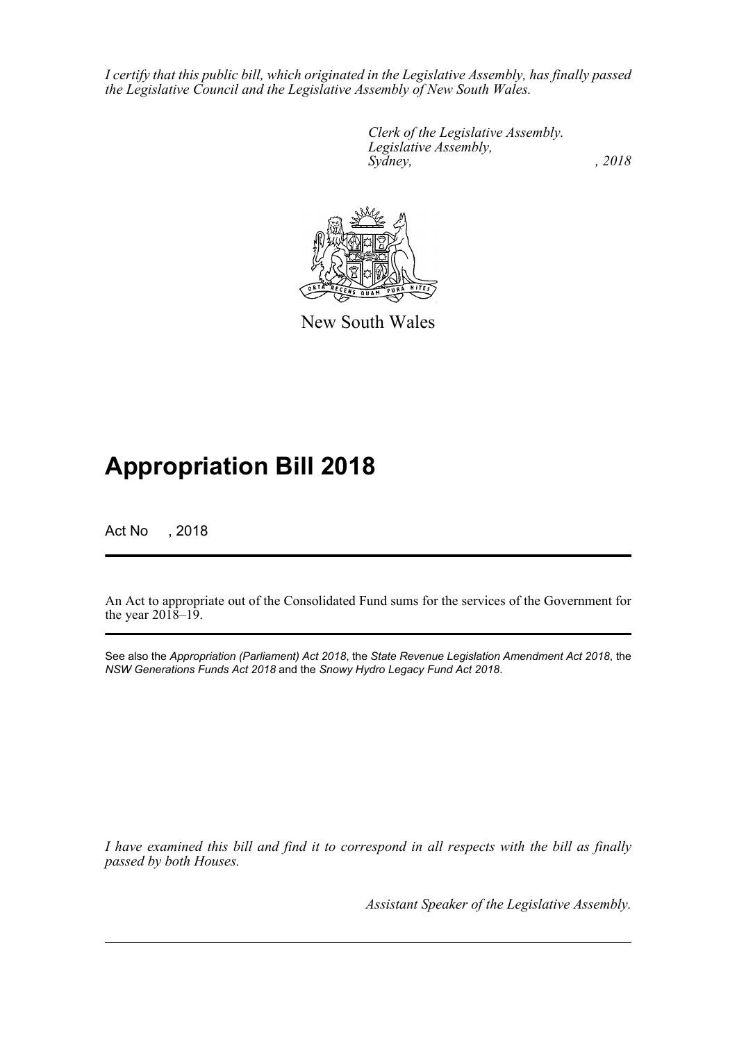*I certify that this public bill, which originated in the Legislative Assembly, has finally passed the Legislative Council and the Legislative Assembly of New South Wales.*

> *Clerk of the Legislative Assembly. Legislative Assembly, Sydney, , 2018*



New South Wales

# **Appropriation Bill 2018**

Act No , 2018

An Act to appropriate out of the Consolidated Fund sums for the services of the Government for the year  $201\overline{8}$ –19.

See also the *Appropriation (Parliament) Act 2018*, the *State Revenue Legislation Amendment Act 2018*, the *NSW Generations Funds Act 2018* and the *Snowy Hydro Legacy Fund Act 2018*.

*I have examined this bill and find it to correspond in all respects with the bill as finally passed by both Houses.*

*Assistant Speaker of the Legislative Assembly.*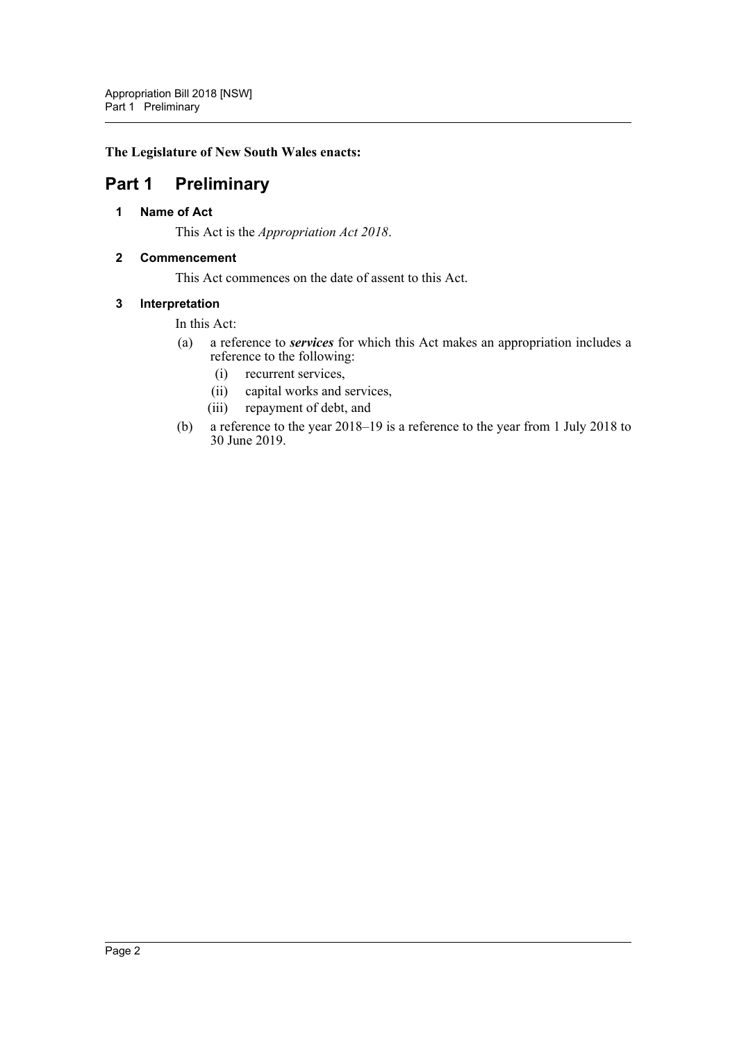#### **The Legislature of New South Wales enacts:**

## <span id="page-3-1"></span><span id="page-3-0"></span>**Part 1 Preliminary**

#### **1 Name of Act**

This Act is the *Appropriation Act 2018*.

#### <span id="page-3-2"></span>**2 Commencement**

This Act commences on the date of assent to this Act.

#### <span id="page-3-3"></span>**3 Interpretation**

#### In this Act:

- (a) a reference to *services* for which this Act makes an appropriation includes a reference to the following:
	- (i) recurrent services,
	- (ii) capital works and services,
	- (iii) repayment of debt, and
- (b) a reference to the year 2018–19 is a reference to the year from 1 July 2018 to 30 June 2019.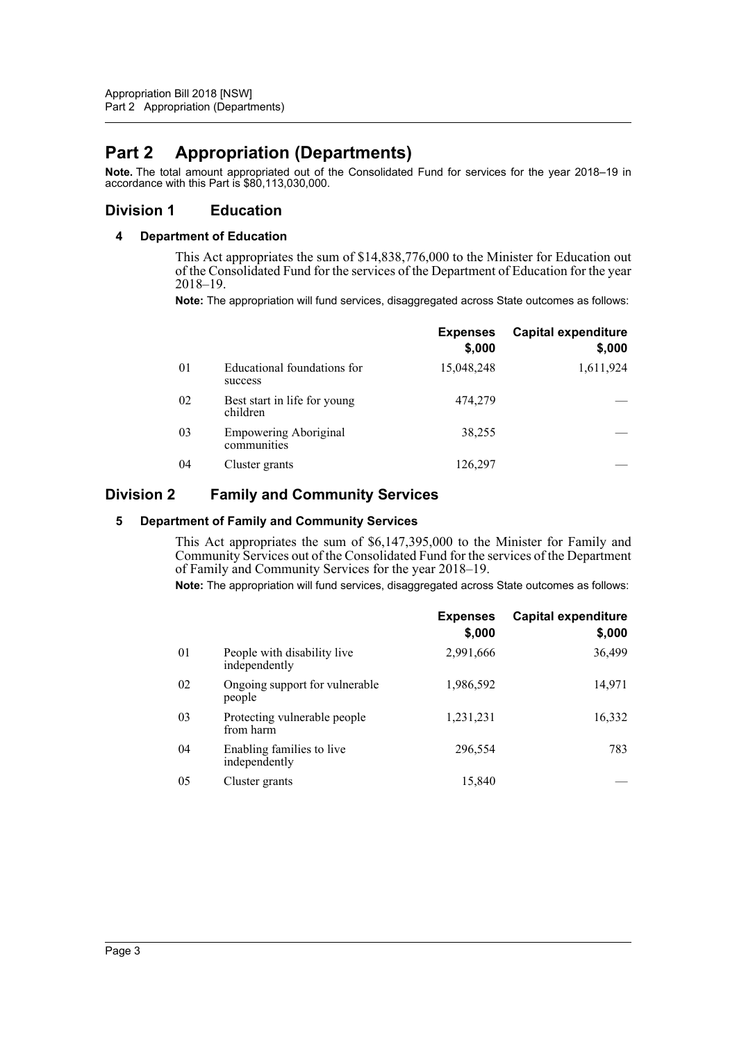## <span id="page-4-0"></span>**Part 2 Appropriation (Departments)**

**Note.** The total amount appropriated out of the Consolidated Fund for services for the year 2018–19 in accordance with this Part is \$80,113,030,000.

## <span id="page-4-2"></span><span id="page-4-1"></span>**Division 1 Education**

#### **4 Department of Education**

This Act appropriates the sum of \$14,838,776,000 to the Minister for Education out of the Consolidated Fund for the services of the Department of Education for the year 2018–19.

**Note:** The appropriation will fund services, disaggregated across State outcomes as follows:

|                |                                             | <b>Expenses</b><br>\$,000 | <b>Capital expenditure</b><br>\$,000 |
|----------------|---------------------------------------------|---------------------------|--------------------------------------|
| 0 <sub>1</sub> | Educational foundations for<br>success      | 15,048,248                | 1,611,924                            |
| 02             | Best start in life for young<br>children    | 474,279                   |                                      |
| 03             | <b>Empowering Aboriginal</b><br>communities | 38,255                    |                                      |
| 04             | Cluster grants                              | 126,297                   |                                      |

## <span id="page-4-4"></span><span id="page-4-3"></span>**Division 2 Family and Community Services**

#### **5 Department of Family and Community Services**

This Act appropriates the sum of \$6,147,395,000 to the Minister for Family and Community Services out of the Consolidated Fund for the services of the Department of Family and Community Services for the year 2018–19.

**Note:** The appropriation will fund services, disaggregated across State outcomes as follows:

|    |                                              | <b>Expenses</b><br>\$,000 | <b>Capital expenditure</b><br>\$,000 |
|----|----------------------------------------------|---------------------------|--------------------------------------|
| 01 | People with disability live<br>independently | 2,991,666                 | 36,499                               |
| 02 | Ongoing support for vulnerable<br>people     | 1,986,592                 | 14,971                               |
| 03 | Protecting vulnerable people<br>from harm    | 1,231,231                 | 16,332                               |
| 04 | Enabling families to live<br>independently   | 296,554                   | 783                                  |
| 05 | Cluster grants                               | 15,840                    |                                      |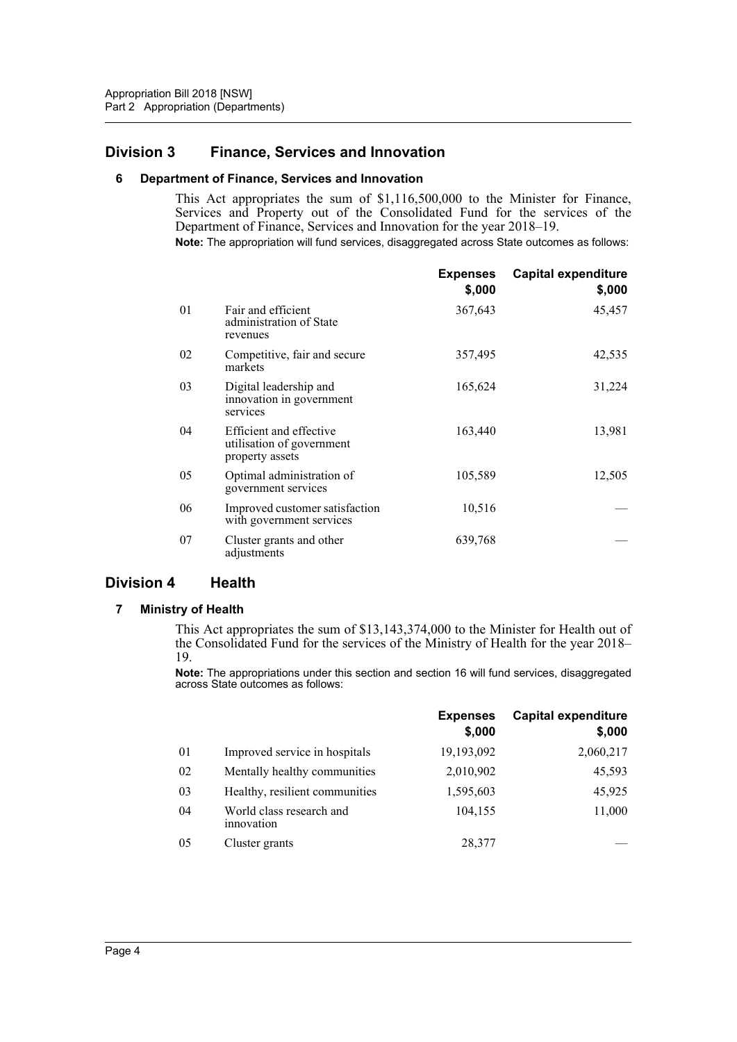## <span id="page-5-1"></span><span id="page-5-0"></span>**Division 3 Finance, Services and Innovation**

#### **6 Department of Finance, Services and Innovation**

This Act appropriates the sum of \$1,116,500,000 to the Minister for Finance, Services and Property out of the Consolidated Fund for the services of the Department of Finance, Services and Innovation for the year 2018–19. **Note:** The appropriation will fund services, disaggregated across State outcomes as follows:

|    |                                                                         | <b>Expenses</b><br>\$,000 | <b>Capital expenditure</b><br>\$,000 |
|----|-------------------------------------------------------------------------|---------------------------|--------------------------------------|
| 01 | Fair and efficient<br>administration of State<br>revenues               | 367,643                   | 45,457                               |
| 02 | Competitive, fair and secure<br>markets                                 | 357,495                   | 42,535                               |
| 03 | Digital leadership and<br>innovation in government<br>services          | 165,624                   | 31,224                               |
| 04 | Efficient and effective<br>utilisation of government<br>property assets | 163,440                   | 13,981                               |
| 05 | Optimal administration of<br>government services                        | 105,589                   | 12,505                               |
| 06 | Improved customer satisfaction<br>with government services              | 10,516                    |                                      |
| 07 | Cluster grants and other<br>adjustments                                 | 639,768                   |                                      |

## <span id="page-5-3"></span><span id="page-5-2"></span>**Division 4 Health**

#### **7 Ministry of Health**

This Act appropriates the sum of \$13,143,374,000 to the Minister for Health out of the Consolidated Fund for the services of the Ministry of Health for the year 2018– 19.

**Note:** The appropriations under this section and section 16 will fund services, disaggregated across State outcomes as follows:

|    |                                        | <b>Expenses</b><br>\$,000 | <b>Capital expenditure</b><br>\$,000 |
|----|----------------------------------------|---------------------------|--------------------------------------|
| 01 | Improved service in hospitals          | 19,193,092                | 2,060,217                            |
| 02 | Mentally healthy communities           | 2,010,902                 | 45,593                               |
| 03 | Healthy, resilient communities         | 1,595,603                 | 45,925                               |
| 04 | World class research and<br>innovation | 104,155                   | 11,000                               |
| 05 | Cluster grants                         | 28,377                    |                                      |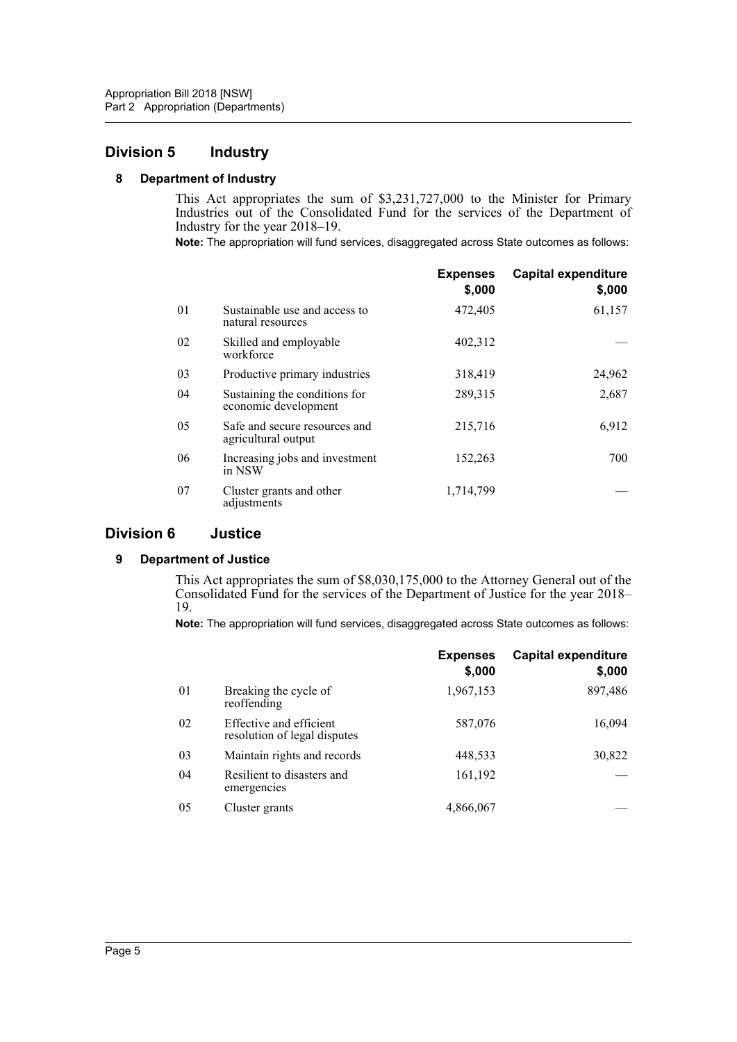## <span id="page-6-1"></span><span id="page-6-0"></span>**Division 5 Industry**

#### **8 Department of Industry**

This Act appropriates the sum of \$3,231,727,000 to the Minister for Primary Industries out of the Consolidated Fund for the services of the Department of Industry for the year 2018–19.

**Note:** The appropriation will fund services, disaggregated across State outcomes as follows:

|    |                                                       | <b>Expenses</b><br>\$,000 | <b>Capital expenditure</b><br>\$,000 |
|----|-------------------------------------------------------|---------------------------|--------------------------------------|
| 01 | Sustainable use and access to<br>natural resources    | 472,405                   | 61,157                               |
| 02 | Skilled and employable<br>workforce                   | 402,312                   |                                      |
| 03 | Productive primary industries                         | 318,419                   | 24,962                               |
| 04 | Sustaining the conditions for<br>economic development | 289,315                   | 2,687                                |
| 05 | Safe and secure resources and<br>agricultural output  | 215,716                   | 6,912                                |
| 06 | Increasing jobs and investment<br>in NSW              | 152,263                   | 700                                  |
| 07 | Cluster grants and other<br>adjustments               | 1,714,799                 |                                      |

## <span id="page-6-3"></span><span id="page-6-2"></span>**Division 6 Justice**

#### **9 Department of Justice**

This Act appropriates the sum of \$8,030,175,000 to the Attorney General out of the Consolidated Fund for the services of the Department of Justice for the year 2018– 19.

**Note:** The appropriation will fund services, disaggregated across State outcomes as follows:

|    |                                                         | <b>Expenses</b><br>\$,000 | <b>Capital expenditure</b><br>\$,000 |
|----|---------------------------------------------------------|---------------------------|--------------------------------------|
| 01 | Breaking the cycle of<br>reoffending                    | 1,967,153                 | 897,486                              |
| 02 | Effective and efficient<br>resolution of legal disputes | 587,076                   | 16,094                               |
| 03 | Maintain rights and records                             | 448,533                   | 30,822                               |
| 04 | Resilient to disasters and<br>emergencies               | 161,192                   |                                      |
| 05 | Cluster grants                                          | 4,866,067                 |                                      |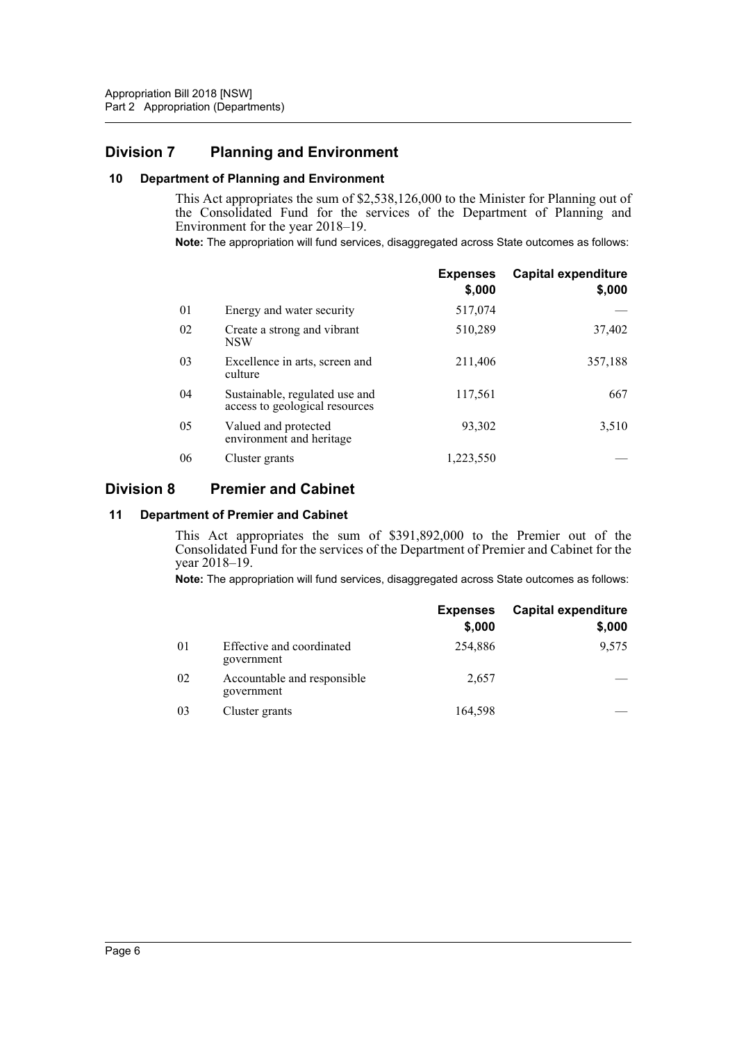## <span id="page-7-0"></span>**Division 7 Planning and Environment**

#### <span id="page-7-1"></span>**10 Department of Planning and Environment**

This Act appropriates the sum of \$2,538,126,000 to the Minister for Planning out of the Consolidated Fund for the services of the Department of Planning and Environment for the year 2018–19.

**Note:** The appropriation will fund services, disaggregated across State outcomes as follows:

|    |                                                                  | <b>Expenses</b><br>\$,000 | <b>Capital expenditure</b><br>\$,000 |
|----|------------------------------------------------------------------|---------------------------|--------------------------------------|
| 01 | Energy and water security                                        | 517,074                   |                                      |
| 02 | Create a strong and vibrant<br><b>NSW</b>                        | 510,289                   | 37,402                               |
| 03 | Excellence in arts, screen and<br>culture                        | 211,406                   | 357,188                              |
| 04 | Sustainable, regulated use and<br>access to geological resources | 117,561                   | 667                                  |
| 05 | Valued and protected<br>environment and heritage                 | 93.302                    | 3,510                                |
| 06 | Cluster grants                                                   | 1,223,550                 |                                      |

## <span id="page-7-2"></span>**Division 8 Premier and Cabinet**

#### <span id="page-7-3"></span>**11 Department of Premier and Cabinet**

This Act appropriates the sum of \$391,892,000 to the Premier out of the Consolidated Fund for the services of the Department of Premier and Cabinet for the year 2018–19.

**Note:** The appropriation will fund services, disaggregated across State outcomes as follows:

|                |                                           | <b>Expenses</b><br>\$,000 | <b>Capital expenditure</b><br>\$,000 |
|----------------|-------------------------------------------|---------------------------|--------------------------------------|
| 0 <sup>1</sup> | Effective and coordinated<br>government   | 254,886                   | 9,575                                |
| 02             | Accountable and responsible<br>government | 2,657                     |                                      |
| 03             | Cluster grants                            | 164,598                   |                                      |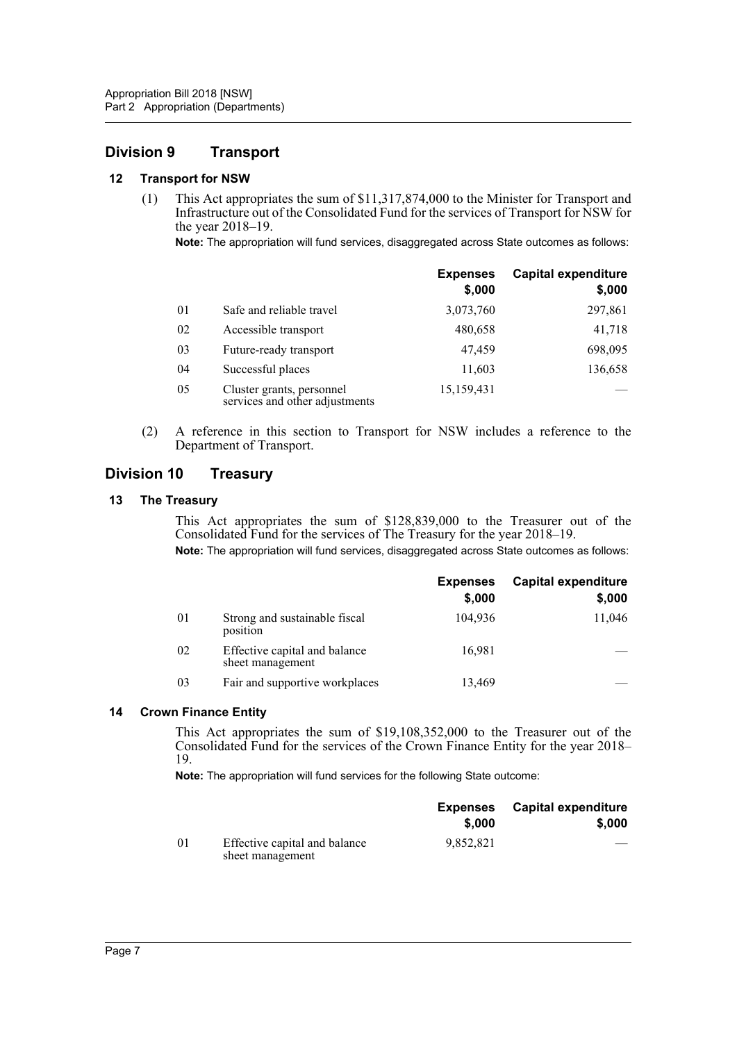## <span id="page-8-0"></span>**Division 9 Transport**

#### <span id="page-8-1"></span>**12 Transport for NSW**

(1) This Act appropriates the sum of \$11,317,874,000 to the Minister for Transport and Infrastructure out of the Consolidated Fund for the services of Transport for NSW for the year 2018–19.

**Note:** The appropriation will fund services, disaggregated across State outcomes as follows:

|    |                                                             | <b>Expenses</b><br>\$,000 | <b>Capital expenditure</b><br>\$,000 |
|----|-------------------------------------------------------------|---------------------------|--------------------------------------|
| 01 | Safe and reliable travel                                    | 3,073,760                 | 297,861                              |
| 02 | Accessible transport                                        | 480,658                   | 41,718                               |
| 03 | Future-ready transport                                      | 47,459                    | 698,095                              |
| 04 | Successful places                                           | 11,603                    | 136,658                              |
| 05 | Cluster grants, personnel<br>services and other adjustments | 15,159,431                |                                      |

(2) A reference in this section to Transport for NSW includes a reference to the Department of Transport.

## <span id="page-8-2"></span>**Division 10 Treasury**

#### <span id="page-8-3"></span>**13 The Treasury**

This Act appropriates the sum of \$128,839,000 to the Treasurer out of the Consolidated Fund for the services of The Treasury for the year 2018–19.

**Note:** The appropriation will fund services, disaggregated across State outcomes as follows:

|    |                                                   | <b>Expenses</b><br>\$,000 | <b>Capital expenditure</b><br>\$,000 |
|----|---------------------------------------------------|---------------------------|--------------------------------------|
| 01 | Strong and sustainable fiscal<br>position         | 104,936                   | 11,046                               |
| 02 | Effective capital and balance<br>sheet management | 16,981                    |                                      |
| 03 | Fair and supportive workplaces                    | 13,469                    |                                      |

#### <span id="page-8-4"></span>**14 Crown Finance Entity**

This Act appropriates the sum of \$19,108,352,000 to the Treasurer out of the Consolidated Fund for the services of the Crown Finance Entity for the year 2018– 19.

**Note:** The appropriation will fund services for the following State outcome:

|     |                                                   | <b>Expenses</b><br>\$.000 | <b>Capital expenditure</b><br>\$,000 |
|-----|---------------------------------------------------|---------------------------|--------------------------------------|
|     |                                                   |                           |                                      |
| -01 | Effective capital and balance<br>sheet management | 9.852.821                 | $-$                                  |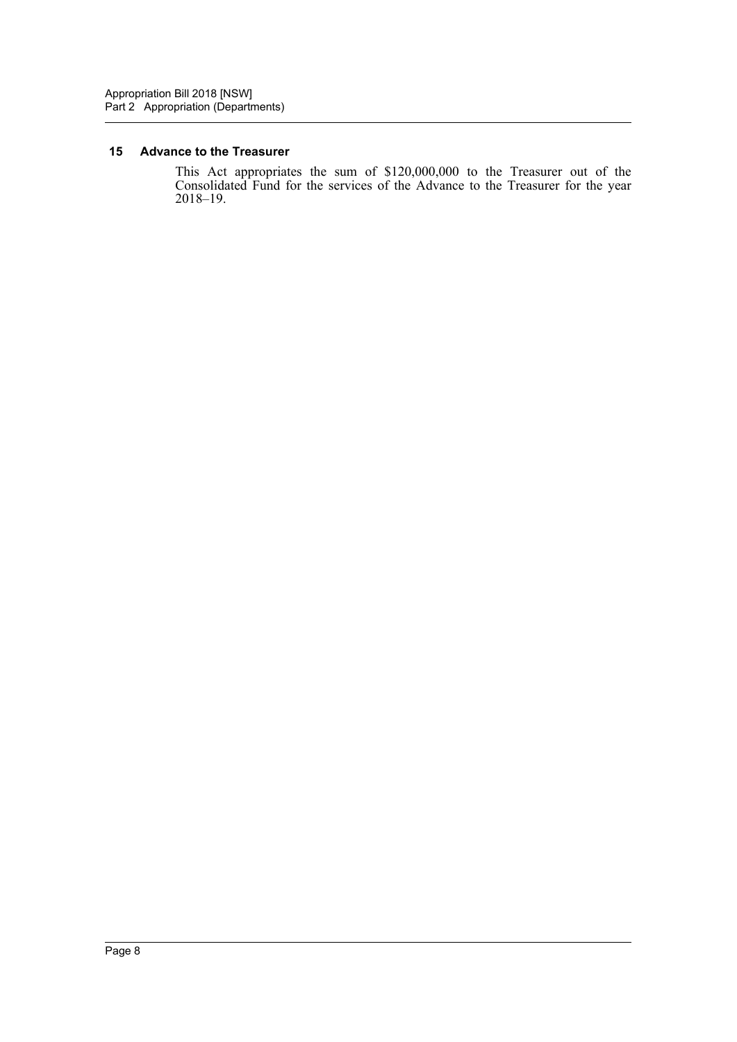#### <span id="page-9-0"></span>**15 Advance to the Treasurer**

This Act appropriates the sum of \$120,000,000 to the Treasurer out of the Consolidated Fund for the services of the Advance to the Treasurer for the year 2018–19.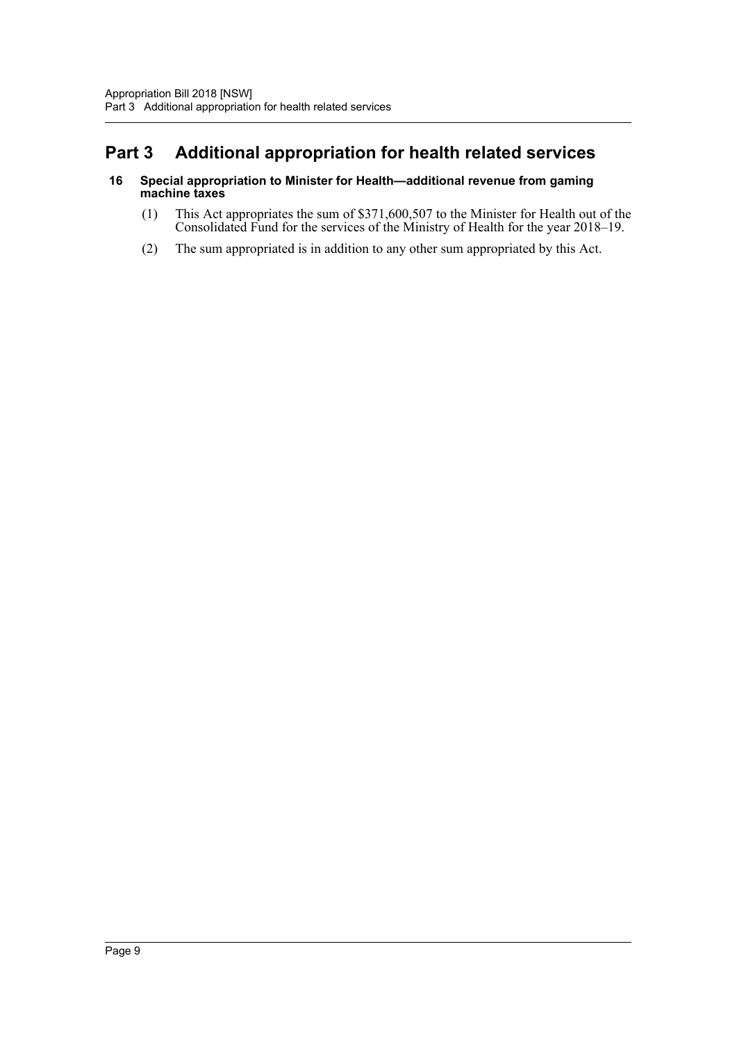# <span id="page-10-0"></span>**Part 3 Additional appropriation for health related services**

#### <span id="page-10-1"></span>**16 Special appropriation to Minister for Health—additional revenue from gaming machine taxes**

- (1) This Act appropriates the sum of \$371,600,507 to the Minister for Health out of the Consolidated Fund for the services of the Ministry of Health for the year 2018–19.
- (2) The sum appropriated is in addition to any other sum appropriated by this Act.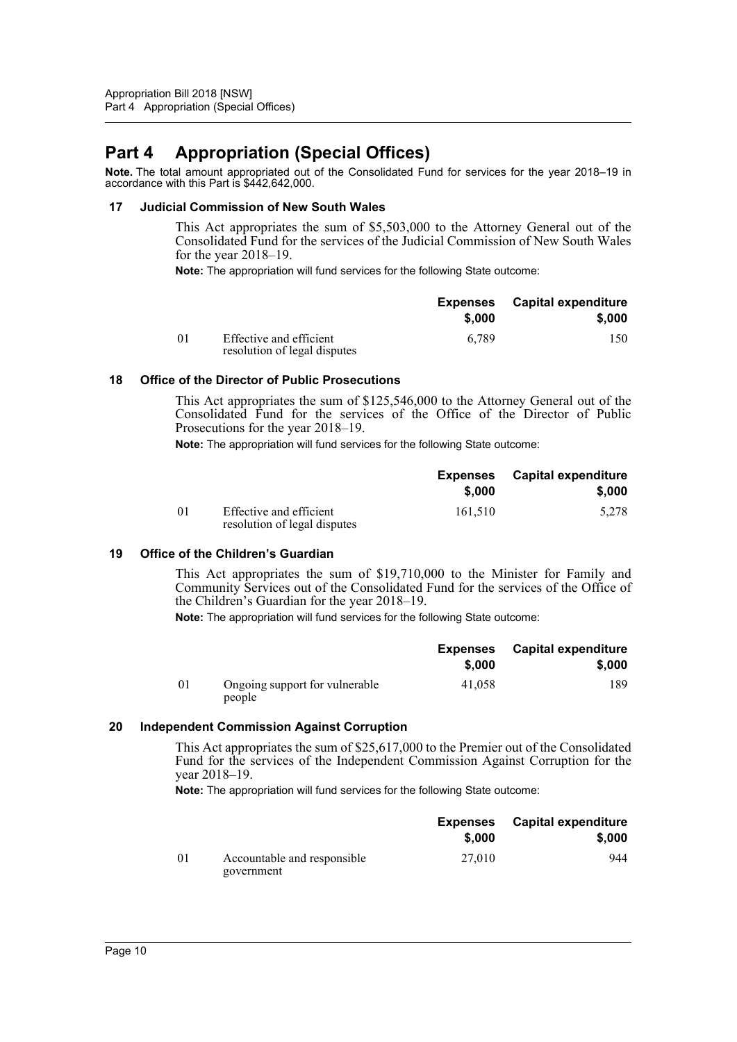# <span id="page-11-0"></span>**Part 4 Appropriation (Special Offices)**

**Note.** The total amount appropriated out of the Consolidated Fund for services for the year 2018–19 in accordance with this Part is \$442,642,000.

#### <span id="page-11-1"></span>**17 Judicial Commission of New South Wales**

This Act appropriates the sum of \$5,503,000 to the Attorney General out of the Consolidated Fund for the services of the Judicial Commission of New South Wales for the year 2018–19.

**Note:** The appropriation will fund services for the following State outcome:

|    |                                                         | <b>Expenses</b><br>\$.000 | <b>Capital expenditure</b><br>\$.000 |
|----|---------------------------------------------------------|---------------------------|--------------------------------------|
|    |                                                         |                           |                                      |
| 01 | Effective and efficient<br>resolution of legal disputes | 6.789                     | 150                                  |

#### <span id="page-11-2"></span>**18 Office of the Director of Public Prosecutions**

This Act appropriates the sum of \$125,546,000 to the Attorney General out of the Consolidated Fund for the services of the Office of the Director of Public Prosecutions for the year 2018–19.

**Note:** The appropriation will fund services for the following State outcome:

|          |                                                         | <b>Expenses</b> | <b>Capital expenditure</b> |
|----------|---------------------------------------------------------|-----------------|----------------------------|
|          |                                                         | \$,000          | \$,000                     |
| $\Omega$ | Effective and efficient<br>resolution of legal disputes | 161.510         | 5.278                      |

#### <span id="page-11-3"></span>**19 Office of the Children's Guardian**

This Act appropriates the sum of \$19,710,000 to the Minister for Family and Community Services out of the Consolidated Fund for the services of the Office of the Children's Guardian for the year 2018–19.

**Note:** The appropriation will fund services for the following State outcome:

|     |                                          | <b>Expenses</b> | <b>Capital expenditure</b> |
|-----|------------------------------------------|-----------------|----------------------------|
|     |                                          | \$,000          | \$,000                     |
| -01 | Ongoing support for vulnerable<br>people | 41,058          | 189                        |

## <span id="page-11-4"></span>**20 Independent Commission Against Corruption**

This Act appropriates the sum of \$25,617,000 to the Premier out of the Consolidated Fund for the services of the Independent Commission Against Corruption for the year 2018–19.

**Note:** The appropriation will fund services for the following State outcome:

|    |                                           | <b>Expenses</b> | Capital expenditure |
|----|-------------------------------------------|-----------------|---------------------|
|    |                                           | \$,000          | \$.000              |
| 01 | Accountable and responsible<br>government | 27,010          | 944                 |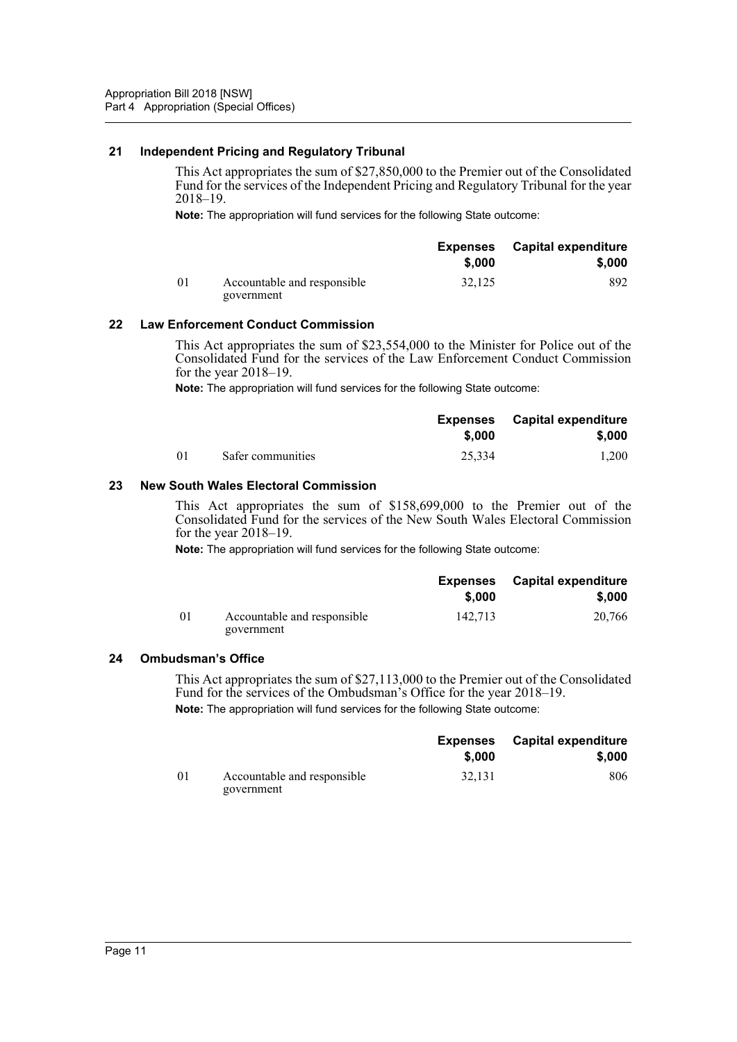#### <span id="page-12-0"></span>**21 Independent Pricing and Regulatory Tribunal**

This Act appropriates the sum of \$27,850,000 to the Premier out of the Consolidated Fund for the services of the Independent Pricing and Regulatory Tribunal for the year 2018–19.

**Note:** The appropriation will fund services for the following State outcome:

|    |                                           | <b>Expenses</b><br>\$,000 | <b>Capital expenditure</b><br>\$.000 |
|----|-------------------------------------------|---------------------------|--------------------------------------|
|    |                                           |                           |                                      |
| 01 | Accountable and responsible<br>government | 32,125                    | 892.                                 |

#### <span id="page-12-1"></span>**22 Law Enforcement Conduct Commission**

This Act appropriates the sum of \$23,554,000 to the Minister for Police out of the Consolidated Fund for the services of the Law Enforcement Conduct Commission for the year 2018–19.

**Note:** The appropriation will fund services for the following State outcome:

|                |                   | Expenses<br>\$,000 | <b>Capital expenditure</b><br>\$.000 |
|----------------|-------------------|--------------------|--------------------------------------|
|                |                   |                    |                                      |
| 0 <sup>1</sup> | Safer communities | 25,334             | 1.200                                |

#### <span id="page-12-2"></span>**23 New South Wales Electoral Commission**

This Act appropriates the sum of \$158,699,000 to the Premier out of the Consolidated Fund for the services of the New South Wales Electoral Commission for the year 2018–19.

**Note:** The appropriation will fund services for the following State outcome:

|    |                                           | Expenses<br>\$,000 | Capital expenditure<br>\$,000 |
|----|-------------------------------------------|--------------------|-------------------------------|
|    |                                           |                    |                               |
| 01 | Accountable and responsible<br>government | 142.713            | 20,766                        |

#### <span id="page-12-3"></span>**24 Ombudsman's Office**

This Act appropriates the sum of \$27,113,000 to the Premier out of the Consolidated Fund for the services of the Ombudsman's Office for the year 2018–19. **Note:** The appropriation will fund services for the following State outcome:

|     |                                           | \$.000 | <b>Expenses</b> Capital expenditure<br>\$,000 |
|-----|-------------------------------------------|--------|-----------------------------------------------|
|     |                                           |        |                                               |
| -01 | Accountable and responsible<br>government | 32.131 | 806                                           |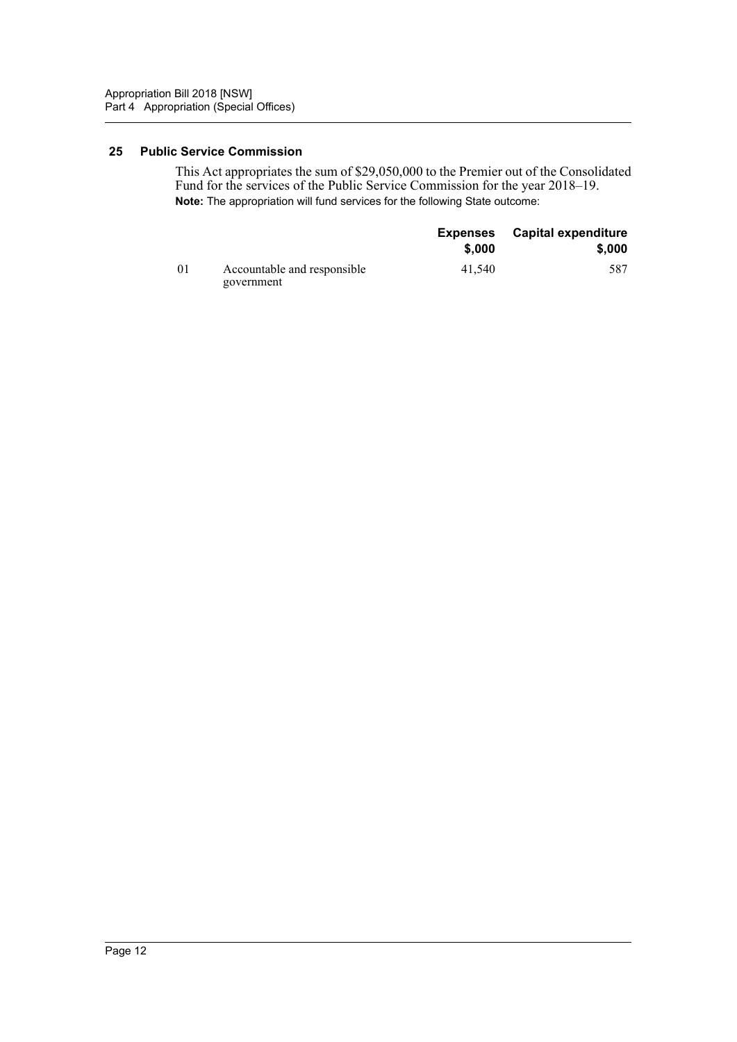#### <span id="page-13-0"></span>**25 Public Service Commission**

This Act appropriates the sum of \$29,050,000 to the Premier out of the Consolidated Fund for the services of the Public Service Commission for the year 2018–19. **Note:** The appropriation will fund services for the following State outcome:

|                |                                           | <b>Expenses</b> | <b>Capital expenditure</b> |
|----------------|-------------------------------------------|-----------------|----------------------------|
|                |                                           | \$.000          | \$,000                     |
| 0 <sup>1</sup> | Accountable and responsible<br>government | 41,540          | 587                        |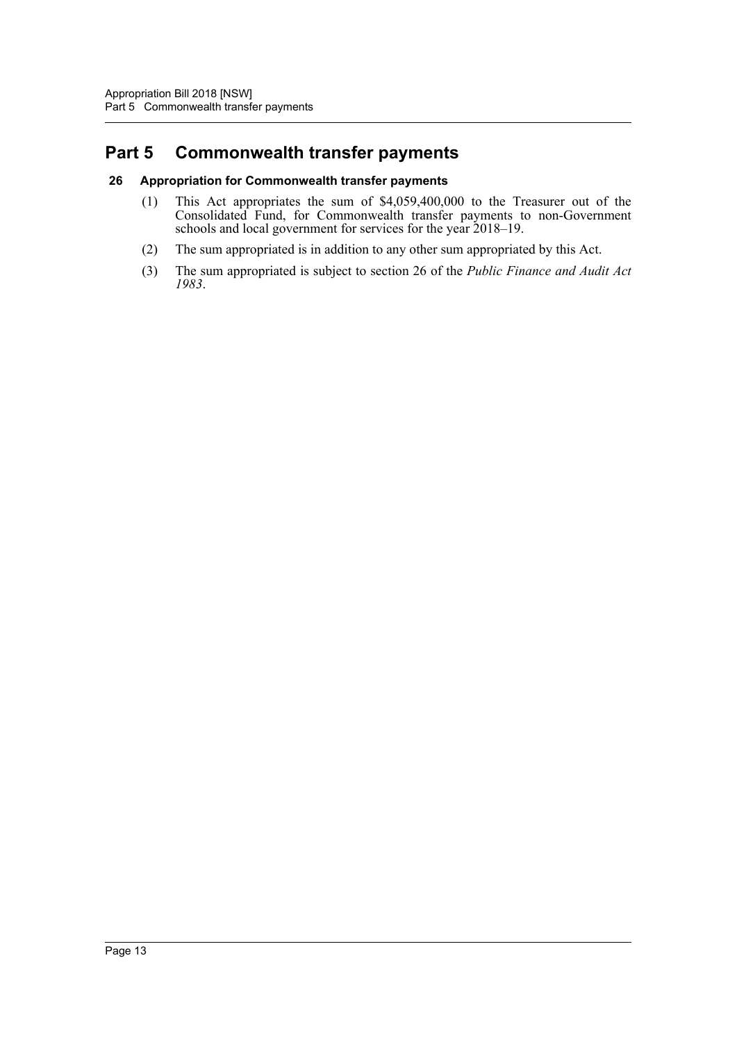# <span id="page-14-0"></span>**Part 5 Commonwealth transfer payments**

#### <span id="page-14-1"></span>**26 Appropriation for Commonwealth transfer payments**

- (1) This Act appropriates the sum of \$4,059,400,000 to the Treasurer out of the Consolidated Fund, for Commonwealth transfer payments to non-Government schools and local government for services for the year 2018–19.
- (2) The sum appropriated is in addition to any other sum appropriated by this Act.
- (3) The sum appropriated is subject to section 26 of the *Public Finance and Audit Act 1983*.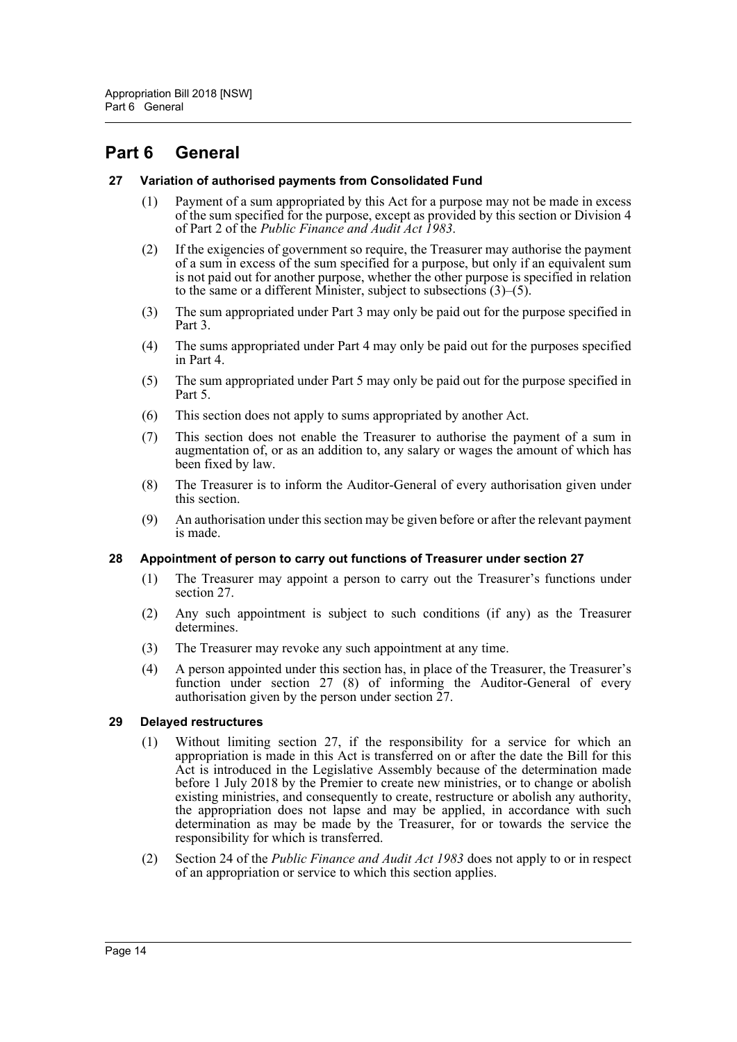## <span id="page-15-0"></span>**Part 6 General**

#### <span id="page-15-1"></span>**27 Variation of authorised payments from Consolidated Fund**

- (1) Payment of a sum appropriated by this Act for a purpose may not be made in excess of the sum specified for the purpose, except as provided by this section or Division 4 of Part 2 of the *Public Finance and Audit Act 1983*.
- (2) If the exigencies of government so require, the Treasurer may authorise the payment of a sum in excess of the sum specified for a purpose, but only if an equivalent sum is not paid out for another purpose, whether the other purpose is specified in relation to the same or a different Minister, subject to subsections (3)–(5).
- (3) The sum appropriated under Part 3 may only be paid out for the purpose specified in Part 3.
- (4) The sums appropriated under Part 4 may only be paid out for the purposes specified in Part 4.
- (5) The sum appropriated under Part 5 may only be paid out for the purpose specified in Part 5.
- (6) This section does not apply to sums appropriated by another Act.
- (7) This section does not enable the Treasurer to authorise the payment of a sum in augmentation of, or as an addition to, any salary or wages the amount of which has been fixed by law.
- (8) The Treasurer is to inform the Auditor-General of every authorisation given under this section.
- (9) An authorisation under this section may be given before or after the relevant payment is made.

#### <span id="page-15-2"></span>**28 Appointment of person to carry out functions of Treasurer under section 27**

- (1) The Treasurer may appoint a person to carry out the Treasurer's functions under section 27.
- (2) Any such appointment is subject to such conditions (if any) as the Treasurer determines.
- (3) The Treasurer may revoke any such appointment at any time.
- (4) A person appointed under this section has, in place of the Treasurer, the Treasurer's function under section 27 (8) of informing the Auditor-General of every authorisation given by the person under section  $27$ .

## <span id="page-15-3"></span>**29 Delayed restructures**

- (1) Without limiting section 27, if the responsibility for a service for which an appropriation is made in this Act is transferred on or after the date the Bill for this Act is introduced in the Legislative Assembly because of the determination made before 1 July 2018 by the Premier to create new ministries, or to change or abolish existing ministries, and consequently to create, restructure or abolish any authority, the appropriation does not lapse and may be applied, in accordance with such determination as may be made by the Treasurer, for or towards the service the responsibility for which is transferred.
- (2) Section 24 of the *Public Finance and Audit Act 1983* does not apply to or in respect of an appropriation or service to which this section applies.